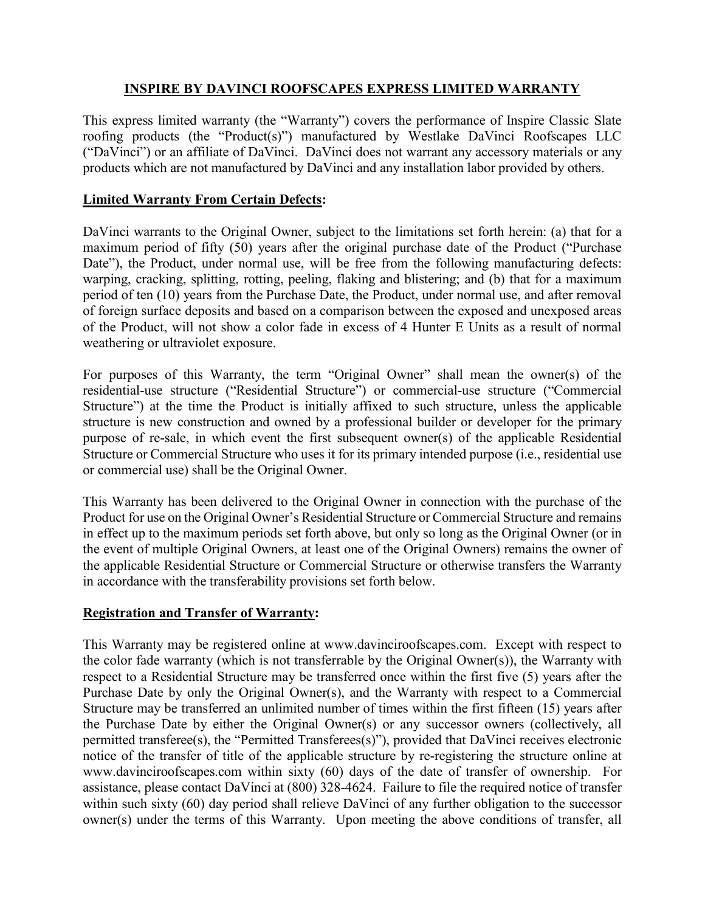# **INSPIRE BY DAVINCI ROOFSCAPES EXPRESS LIMITED WARRANTY**

This express limited warranty (the "Warranty") covers the performance of Inspire Classic Slate roofing products (the "Product(s)") manufactured by Westlake DaVinci Roofscapes LLC ("DaVinci") or an affiliate of DaVinci. DaVinci does not warrant any accessory materials or any products which are not manufactured by DaVinci and any installation labor provided by others.

### **Limited Warranty From Certain Defects:**

DaVinci warrants to the Original Owner, subject to the limitations set forth herein: (a) that for a maximum period of fifty (50) years after the original purchase date of the Product ("Purchase Date"), the Product, under normal use, will be free from the following manufacturing defects: warping, cracking, splitting, rotting, peeling, flaking and blistering; and (b) that for a maximum period of ten (10) years from the Purchase Date, the Product, under normal use, and after removal of foreign surface deposits and based on a comparison between the exposed and unexposed areas of the Product, will not show a color fade in excess of 4 Hunter E Units as a result of normal weathering or ultraviolet exposure.

For purposes of this Warranty, the term "Original Owner" shall mean the owner(s) of the residential-use structure ("Residential Structure") or commercial-use structure ("Commercial Structure") at the time the Product is initially affixed to such structure, unless the applicable structure is new construction and owned by a professional builder or developer for the primary purpose of re-sale, in which event the first subsequent owner(s) of the applicable Residential Structure or Commercial Structure who uses it for its primary intended purpose (i.e., residential use or commercial use) shall be the Original Owner.

This Warranty has been delivered to the Original Owner in connection with the purchase of the Product for use on the Original Owner's Residential Structure or Commercial Structure and remains in effect up to the maximum periods set forth above, but only so long as the Original Owner (or in the event of multiple Original Owners, at least one of the Original Owners) remains the owner of the applicable Residential Structure or Commercial Structure or otherwise transfers the Warranty in accordance with the transferability provisions set forth below.

#### **Registration and Transfer of Warranty:**

This Warranty may be registered online at www.davinciroofscapes.com. Except with respect to the color fade warranty (which is not transferrable by the Original Owner(s)), the Warranty with respect to a Residential Structure may be transferred once within the first five (5) years after the Purchase Date by only the Original Owner(s), and the Warranty with respect to a Commercial Structure may be transferred an unlimited number of times within the first fifteen (15) years after the Purchase Date by either the Original Owner(s) or any successor owners (collectively, all permitted transferee(s), the "Permitted Transferees(s)"), provided that DaVinci receives electronic notice of the transfer of title of the applicable structure by re-registering the structure online at www.davinciroofscapes.com within sixty (60) days of the date of transfer of ownership. For assistance, please contact DaVinci at (800) 328-4624. Failure to file the required notice of transfer within such sixty (60) day period shall relieve DaVinci of any further obligation to the successor owner(s) under the terms of this Warranty. Upon meeting the above conditions of transfer, all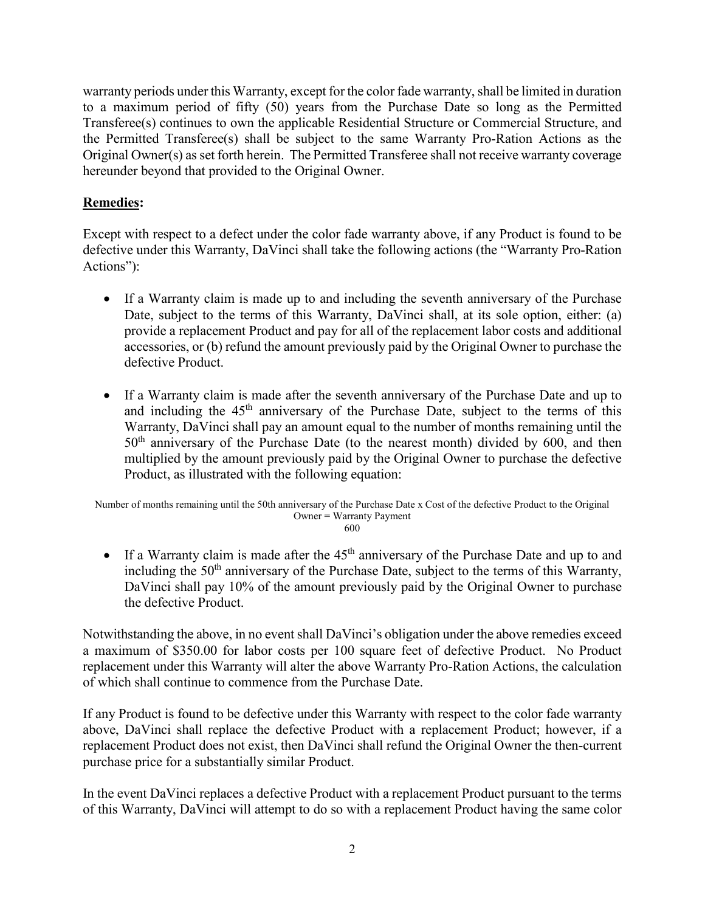warranty periods under this Warranty, except for the color fade warranty, shall be limited in duration to a maximum period of fifty (50) years from the Purchase Date so long as the Permitted Transferee(s) continues to own the applicable Residential Structure or Commercial Structure, and the Permitted Transferee(s) shall be subject to the same Warranty Pro-Ration Actions as the Original Owner(s) as set forth herein. The Permitted Transferee shall not receive warranty coverage hereunder beyond that provided to the Original Owner.

#### **Remedies:**

Except with respect to a defect under the color fade warranty above, if any Product is found to be defective under this Warranty, DaVinci shall take the following actions (the "Warranty Pro-Ration Actions"):

- If a Warranty claim is made up to and including the seventh anniversary of the Purchase Date, subject to the terms of this Warranty, DaVinci shall, at its sole option, either: (a) provide a replacement Product and pay for all of the replacement labor costs and additional accessories, or (b) refund the amount previously paid by the Original Owner to purchase the defective Product.
- If a Warranty claim is made after the seventh anniversary of the Purchase Date and up to and including the 45<sup>th</sup> anniversary of the Purchase Date, subject to the terms of this Warranty, DaVinci shall pay an amount equal to the number of months remaining until the  $50<sup>th</sup>$  anniversary of the Purchase Date (to the nearest month) divided by 600, and then multiplied by the amount previously paid by the Original Owner to purchase the defective Product, as illustrated with the following equation:

Number of months remaining until the 50th anniversary of the Purchase Date x Cost of the defective Product to the Original Owner = Warranty Payment 600

• If a Warranty claim is made after the  $45<sup>th</sup>$  anniversary of the Purchase Date and up to and including the  $50<sup>th</sup>$  anniversary of the Purchase Date, subject to the terms of this Warranty, DaVinci shall pay 10% of the amount previously paid by the Original Owner to purchase the defective Product.

Notwithstanding the above, in no event shall DaVinci's obligation under the above remedies exceed a maximum of \$350.00 for labor costs per 100 square feet of defective Product. No Product replacement under this Warranty will alter the above Warranty Pro-Ration Actions, the calculation of which shall continue to commence from the Purchase Date.

If any Product is found to be defective under this Warranty with respect to the color fade warranty above, DaVinci shall replace the defective Product with a replacement Product; however, if a replacement Product does not exist, then DaVinci shall refund the Original Owner the then-current purchase price for a substantially similar Product.

In the event DaVinci replaces a defective Product with a replacement Product pursuant to the terms of this Warranty, DaVinci will attempt to do so with a replacement Product having the same color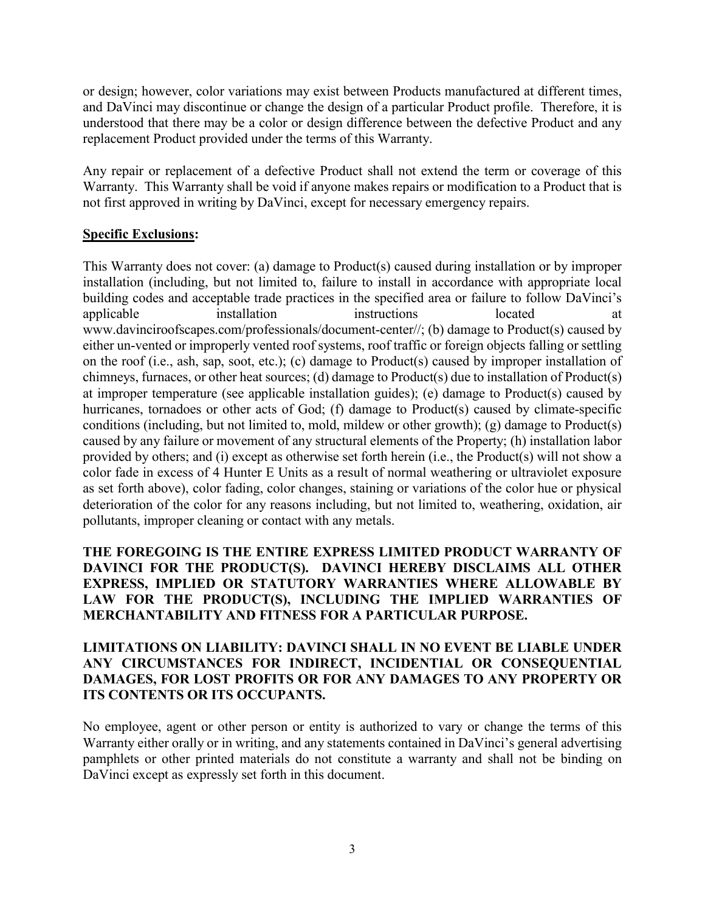or design; however, color variations may exist between Products manufactured at different times, and DaVinci may discontinue or change the design of a particular Product profile. Therefore, it is understood that there may be a color or design difference between the defective Product and any replacement Product provided under the terms of this Warranty.

Any repair or replacement of a defective Product shall not extend the term or coverage of this Warranty. This Warranty shall be void if anyone makes repairs or modification to a Product that is not first approved in writing by DaVinci, except for necessary emergency repairs.

## **Specific Exclusions:**

This Warranty does not cover: (a) damage to Product(s) caused during installation or by improper installation (including, but not limited to, failure to install in accordance with appropriate local building codes and acceptable trade practices in the specified area or failure to follow DaVinci's applicable installation instructions located at www.davinciroofscapes.com/professionals/document-center//; (b) damage to Product(s) caused by either un-vented or improperly vented roof systems, roof traffic or foreign objects falling or settling on the roof (i.e., ash, sap, soot, etc.); (c) damage to Product(s) caused by improper installation of chimneys, furnaces, or other heat sources; (d) damage to Product(s) due to installation of Product(s) at improper temperature (see applicable installation guides); (e) damage to Product(s) caused by hurricanes, tornadoes or other acts of God; (f) damage to Product(s) caused by climate-specific conditions (including, but not limited to, mold, mildew or other growth); (g) damage to Product(s) caused by any failure or movement of any structural elements of the Property; (h) installation labor provided by others; and (i) except as otherwise set forth herein (i.e., the Product(s) will not show a color fade in excess of 4 Hunter E Units as a result of normal weathering or ultraviolet exposure as set forth above), color fading, color changes, staining or variations of the color hue or physical deterioration of the color for any reasons including, but not limited to, weathering, oxidation, air pollutants, improper cleaning or contact with any metals.

**THE FOREGOING IS THE ENTIRE EXPRESS LIMITED PRODUCT WARRANTY OF DAVINCI FOR THE PRODUCT(S). DAVINCI HEREBY DISCLAIMS ALL OTHER EXPRESS, IMPLIED OR STATUTORY WARRANTIES WHERE ALLOWABLE BY LAW FOR THE PRODUCT(S), INCLUDING THE IMPLIED WARRANTIES OF MERCHANTABILITY AND FITNESS FOR A PARTICULAR PURPOSE.**

#### **LIMITATIONS ON LIABILITY: DAVINCI SHALL IN NO EVENT BE LIABLE UNDER ANY CIRCUMSTANCES FOR INDIRECT, INCIDENTIAL OR CONSEQUENTIAL DAMAGES, FOR LOST PROFITS OR FOR ANY DAMAGES TO ANY PROPERTY OR ITS CONTENTS OR ITS OCCUPANTS.**

No employee, agent or other person or entity is authorized to vary or change the terms of this Warranty either orally or in writing, and any statements contained in DaVinci's general advertising pamphlets or other printed materials do not constitute a warranty and shall not be binding on DaVinci except as expressly set forth in this document.